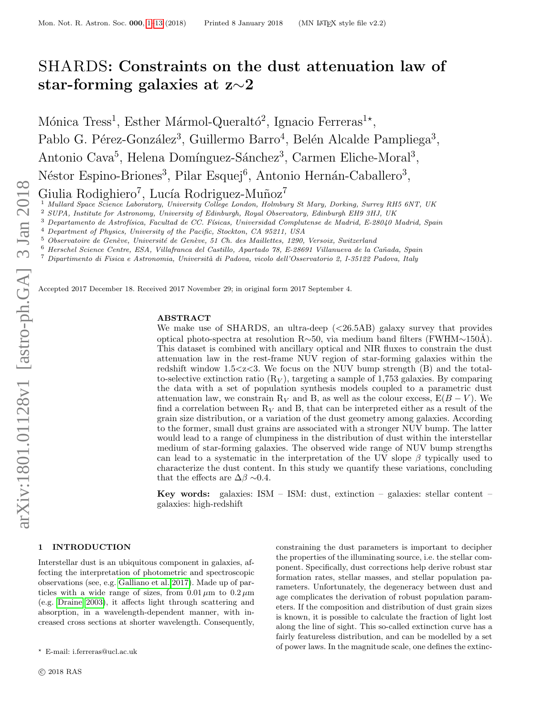# SHARDS: Constraints on the dust attenuation law of star-forming galaxies at z∼2

Mónica Tress<sup>1</sup>, Esther Mármol-Queraltó<sup>2</sup>, Ignacio Ferreras<sup>1\*</sup>, Pablo G. Pérez-González<sup>3</sup>, Guillermo Barro<sup>4</sup>, Belén Alcalde Pampliega<sup>3</sup>, Antonio Cava<sup>5</sup>, Helena Domínguez-Sánchez<sup>3</sup>, Carmen Eliche-Moral<sup>3</sup>, Néstor Espino-Briones<sup>3</sup>, Pilar Esquej<sup>6</sup>, Antonio Hernán-Caballero<sup>3</sup>,

Giulia Rodighiero<sup>7</sup>, Lucía Rodriguez-Muñoz<sup>7</sup>

<sup>1</sup> Mullard Space Science Laboratory, University College London, Holmbury St Mary, Dorking, Surrey RH5 6NT, UK

<sup>2</sup> SUPA, Institute for Astronomy, University of Edinburgh, Royal Observatory, Edinburgh EH9 3HJ, UK

 $3$  Departamento de Astrofísica, Facultad de CC. Físicas, Universidad Complutense de Madrid, E-28040 Madrid, Spain

<sup>4</sup> Department of Physics, University of the Pacific, Stockton, CA 95211, USA

Observatoire de Genève, Université de Genève, 51 Ch. des Maillettes, 1290, Versoix, Switzerland

<sup>6</sup> Herschel Science Centre, ESA, Villafranca del Castillo, Apartado 78, E-28691 Villanueva de la Ca˜nada, Spain

 $^7$  Dipartimento di Fisica e Astronomia, Università di Padova, vicolo dell'Osservatorio 2, I-35122 Padova, Italy

Accepted 2017 December 18. Received 2017 November 29; in original form 2017 September 4.

#### ABSTRACT

We make use of SHARDS, an ultra-deep  $(*26.5AB*)$  galaxy survey that provides optical photo-spectra at resolution R∼50, via medium band filters (FWHM∼150Å). This dataset is combined with ancillary optical and NIR fluxes to constrain the dust attenuation law in the rest-frame NUV region of star-forming galaxies within the redshift window  $1.5 < z < 3$ . We focus on the NUV bump strength (B) and the totalto-selective extinction ratio  $(R_V)$ , targeting a sample of 1,753 galaxies. By comparing the data with a set of population synthesis models coupled to a parametric dust attenuation law, we constrain R<sub>V</sub> and B, as well as the colour excess,  $E(B - V)$ . We find a correlation between  $R_V$  and B, that can be interpreted either as a result of the grain size distribution, or a variation of the dust geometry among galaxies. According to the former, small dust grains are associated with a stronger NUV bump. The latter would lead to a range of clumpiness in the distribution of dust within the interstellar medium of star-forming galaxies. The observed wide range of NUV bump strengths can lead to a systematic in the interpretation of the UV slope  $\beta$  typically used to characterize the dust content. In this study we quantify these variations, concluding that the effects are  $\Delta\beta \sim 0.4$ .

Key words: galaxies: ISM – ISM: dust, extinction – galaxies: stellar content – galaxies: high-redshift

#### <span id="page-0-0"></span>1 INTRODUCTION

? E-mail: i.ferreras@ucl.ac.uk

Interstellar dust is an ubiquitous component in galaxies, affecting the interpretation of photometric and spectroscopic observations (see, e.g. [Galliano et al. 2017\)](#page-11-0). Made up of particles with a wide range of sizes, from  $0.01 \mu m$  to  $0.2 \mu m$ (e.g. [Draine 2003\)](#page-11-1), it affects light through scattering and absorption, in a wavelength-dependent manner, with increased cross sections at shorter wavelength. Consequently,

constraining the dust parameters is important to decipher the properties of the illuminating source, i.e. the stellar component. Specifically, dust corrections help derive robust star formation rates, stellar masses, and stellar population parameters. Unfortunately, the degeneracy between dust and age complicates the derivation of robust population parameters. If the composition and distribution of dust grain sizes is known, it is possible to calculate the fraction of light lost along the line of sight. This so-called extinction curve has a fairly featureless distribution, and can be modelled by a set of power laws. In the magnitude scale, one defines the extinc-

c 2018 RAS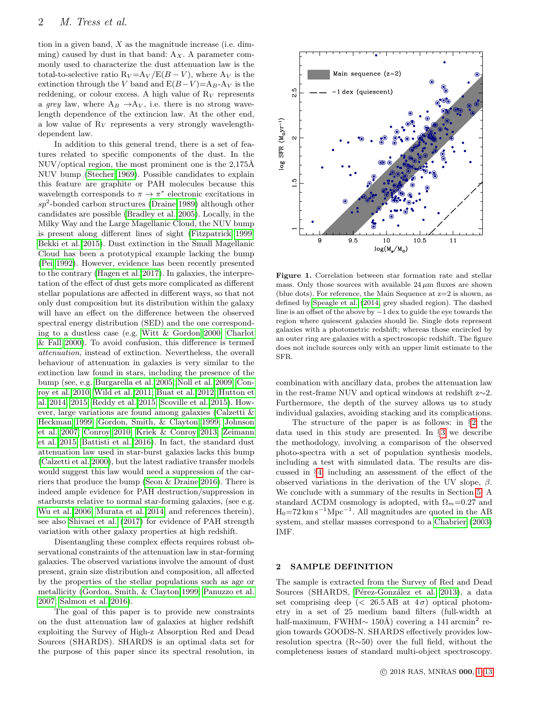tion in a given band,  $X$  as the magnitude increase (i.e. dimming) caused by dust in that band:  $A_X$ . A parameter commonly used to characterize the dust attenuation law is the total-to-selective ratio  $R_V = A_V / E(B - V)$ , where  $A_V$  is the extinction through the V band and  $E(B-V)=A_B-A_V$  is the reddening, or colour excess. A high value of  $R_V$  represents a grey law, where  $A_B \rightarrow A_V$ , i.e. there is no strong wavelength dependence of the extincion law. At the other end, a low value of  $R_V$  represents a very strongly wavelengthdependent law.

In addition to this general trend, there is a set of features related to specific components of the dust. In the  $NUV$  optical region, the most prominent one is the  $2,175\AA$ NUV bump [\(Stecher 1969\)](#page-12-1). Possible candidates to explain this feature are graphite or PAH molecules because this wavelength corresponds to  $\pi \to \pi^*$  electronic excitations in  $sp^2$ -bonded carbon structures [\(Draine 1989\)](#page-11-2) although other candidates are possible [\(Bradley et al. 2005\)](#page-11-3). Locally, in the Milky Way and the Large Magellanic Cloud, the NUV bump is present along different lines of sight [\(Fitzpatrick 1999;](#page-11-4) [Bekki et al. 2015\)](#page-11-5). Dust extinction in the Small Magellanic Cloud has been a prototypical example lacking the bump [\(Pei 1992\)](#page-12-2). However, evidence has been recently presented to the contrary [\(Hagen et al. 2017\)](#page-11-6). In galaxies, the interpretation of the effect of dust gets more complicated as different stellar populations are affected in different ways, so that not only dust composition but its distribution within the galaxy will have an effect on the difference between the observed spectral energy distribution (SED) and the one corresponding to a dustless case (e.g. [Witt & Gordon 2000;](#page-12-3) [Charlot](#page-11-7) [& Fall 2000\)](#page-11-7). To avoid confusion, this difference is termed attenuation, instead of extinction. Nevertheless, the overall behaviour of attenuation in galaxies is very similar to the extinction law found in stars, including the presence of the bump (see, e.g. [Burgarella et al. 2005;](#page-11-8) [Noll et al. 2009;](#page-12-4) [Con](#page-11-9)[roy et al. 2010;](#page-11-9) [Wild et al. 2011;](#page-12-5) [Buat et al. 2012;](#page-11-10) [Hutton et](#page-11-11) [al. 2014,](#page-11-11) [2015;](#page-11-12) [Reddy et al. 2015;](#page-12-6) [Scoville et al. 2015\)](#page-12-7). However, large variations are found among galaxies [\(Calzetti &](#page-11-13) [Heckman 1999;](#page-11-13) [Gordon, Smith, & Clayton 1999;](#page-11-14) [Johnson](#page-11-15) [et al. 2007;](#page-11-15) [Conroy 2010;](#page-11-16) [Kriek & Conroy 2013;](#page-11-17) [Zeimann](#page-12-8) [et al. 2015;](#page-12-8) [Battisti et al. 2016\)](#page-11-18). In fact, the standard dust attenuation law used in star-burst galaxies lacks this bump [\(Calzetti et al. 2000\)](#page-11-19), but the latest radiative transfer models would suggest this law would need a suppression of the carriers that produce the bump [\(Seon & Draine 2016\)](#page-12-9). There is indeed ample evidence for PAH destruction/suppression in starbursts relative to normal star-forming galaxies, (see e.g. [Wu et al. 2006;](#page-12-10) [Murata et al. 2014,](#page-11-20) and references therein), see also [Shivaei et al.](#page-12-11) [\(2017\)](#page-12-11) for evidence of PAH strength variation with other galaxy properties at high redshift.

Disentangling these complex effects requires robust observational constraints of the attenuation law in star-forming galaxies. The observed variations involve the amount of dust present, grain size distribution and composition, all affected by the properties of the stellar populations such as age or metallicity [\(Gordon, Smith, & Clayton 1999;](#page-11-14) [Panuzzo et al.](#page-12-12) [2007;](#page-12-12) [Salmon et al. 2016\)](#page-12-13).

The goal of this paper is to provide new constraints on the dust attenuation law of galaxies at higher redshift exploiting the Survey of High-z Absorption Red and Dead Sources (SHARDS). SHARDS is an optimal data set for the purpose of this paper since its spectral resolution, in

<span id="page-1-1"></span>

Figure 1. Correlation between star formation rate and stellar mass. Only those sources with available  $24 \mu m$  fluxes are shown (blue dots). For reference, the Main Sequence at  $z=2$  is shown, as defined by [Speagle et al.](#page-12-14) [\(2014,](#page-12-14) grey shaded region). The dashed line is an offset of the above by −1 dex to guide the eye towards the region where quiescent galaxies should lie. Single dots represent galaxies with a photometric redshift; whereas those encircled by an outer ring are galaxies with a spectroscopic redshift. The figure does not include sources only with an upper limit estimate to the SFR.

combination with ancillary data, probes the attenuation law in the rest-frame NUV and optical windows at redshift z∼2. Furthermore, the depth of the survey allows us to study individual galaxies, avoiding stacking and its complications.

The structure of the paper is as follows: in §[2](#page-1-0) the data used in this study are presented. In §[3](#page-4-0) we describe the methodology, involving a comparison of the observed photo-spectra with a set of population synthesis models, including a test with simulated data. The results are discussed in §[4,](#page-6-0) including an assessment of the effect of the observed variations in the derivation of the UV slope,  $\beta$ . We conclude with a summary of the results in Section [5.](#page-10-0) A standard  $\Lambda$ CDM cosmology is adopted, with  $\Omega_m$ =0.27 and  $H_0$ =72 km s<sup>-1</sup>Mpc<sup>-1</sup>. All magnitudes are quoted in the AB system, and stellar masses correspond to a [Chabrier](#page-11-21) [\(2003\)](#page-11-21) IMF.

### <span id="page-1-0"></span>2 SAMPLE DEFINITION

The sample is extracted from the Survey of Red and Dead Sources (SHARDS, Pérez-González et al. 2013), a data set comprising deep ( $\langle 26.5 \text{ AB} \text{ at } 4\sigma \rangle$  optical photometry in a set of 25 medium band filters (full-width at half-maximum, FWHM $\sim 150\text{\AA}$ ) covering a 141 arcmin<sup>2</sup> region towards GOODS-N. SHARDS effectively provides lowresolution spectra (R∼50) over the full field, without the completeness issues of standard multi-object spectroscopy.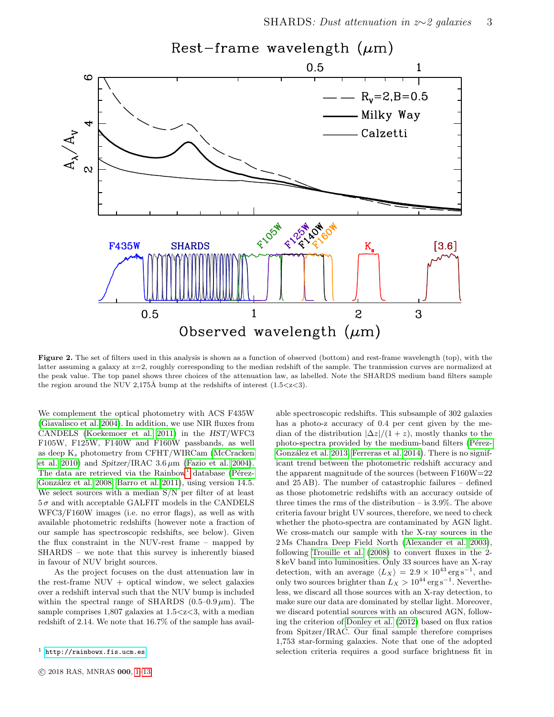<span id="page-2-1"></span>

Figure 2. The set of filters used in this analysis is shown as a function of observed (bottom) and rest-frame wavelength (top), with the latter assuming a galaxy at z=2, roughly corresponding to the median redshift of the sample. The tranmission curves are normalized at the peak value. The top panel shows three choices of the attenuation law, as labelled. Note the SHARDS medium band filters sample the region around the NUV 2,175Å bump at the redshifts of interest  $(1.5 < z < 3)$ .

We complement the optical photometry with ACS F435W [\(Giavalisco et al. 2004\)](#page-11-22). In addition, we use NIR fluxes from CANDELS [\(Koekemoer et al. 2011\)](#page-11-23) in the HST/WFC3 F105W, F125W, F140W and F160W passbands, as well as deep  $K_s$  photometry from CFHT/WIRCam [\(McCracken](#page-11-24) [et al. 2010\)](#page-11-24) and Spitzer/IRAC  $3.6 \mu m$  [\(Fazio et al. 2004\)](#page-11-25). The data are retrieved via the  $Rainbow<sup>1</sup> database (Pérez Rainbow<sup>1</sup> database (Pérez Rainbow<sup>1</sup> database (Pérez-$ González et al. 2008; [Barro et al. 2011\)](#page-11-26), using version 14.5. We select sources with a median S/N per filter of at least  $5\,\sigma$  and with acceptable GALFIT models in the CANDELS WFC3/F160W images (i.e. no error flags), as well as with available photometric redshifts (however note a fraction of our sample has spectroscopic redshifts, see below). Given the flux constraint in the NUV-rest frame – mapped by SHARDS – we note that this survey is inherently biased in favour of NUV bright sources.

As the project focuses on the dust attenuation law in the rest-frame  $NUV + optical$  window, we select galaxies over a redshift interval such that the NUV bump is included within the spectral range of SHARDS  $(0.5-0.9 \,\mu\text{m})$ . The sample comprises  $1,807$  galaxies at  $1.5 < z < 3$ , with a median redshift of 2.14. We note that 16.7% of the sample has available spectroscopic redshifts. This subsample of 302 galaxies has a photo-z accuracy of 0.4 per cent given by the median of the distribution  $|\Delta z|/(1+z)$ , mostly thanks to the photo-spectra provided by the medium-band filters (Pérez-González et al. 2013; [Ferreras et al. 2014\)](#page-11-27). There is no significant trend between the photometric redshift accuracy and the apparent magnitude of the sources (between F160W=22 and 25 AB). The number of catastrophic failures – defined as those photometric redshifts with an accuracy outside of three times the rms of the distribution – is 3.9%. The above criteria favour bright UV sources, therefore, we need to check whether the photo-spectra are contaminated by AGN light. We cross-match our sample with the X-ray sources in the 2 Ms Chandra Deep Field North [\(Alexander et al. 2003\)](#page-11-28), following [Trouille et al.](#page-12-17) [\(2008\)](#page-12-17) to convert fluxes in the 2- 8 keV band into luminosities. Only 33 sources have an X-ray detection, with an average  $\langle L_X \rangle = 2.9 \times 10^{43} \,\text{erg s}^{-1}$ , and only two sources brighter than  $L_X > 10^{44} \text{ erg s}^{-1}$ . Nevertheless, we discard all those sources with an X-ray detection, to make sure our data are dominated by stellar light. Moreover, we discard potential sources with an obscured AGN, following the criterion of [Donley et al.](#page-11-29) [\(2012\)](#page-11-29) based on flux ratios from Spitzer/IRAC. Our final sample therefore comprises 1,753 star-forming galaxies. Note that one of the adopted selection criteria requires a good surface brightness fit in

<span id="page-2-0"></span><sup>1</sup> <http://rainbowx.fis.ucm.es>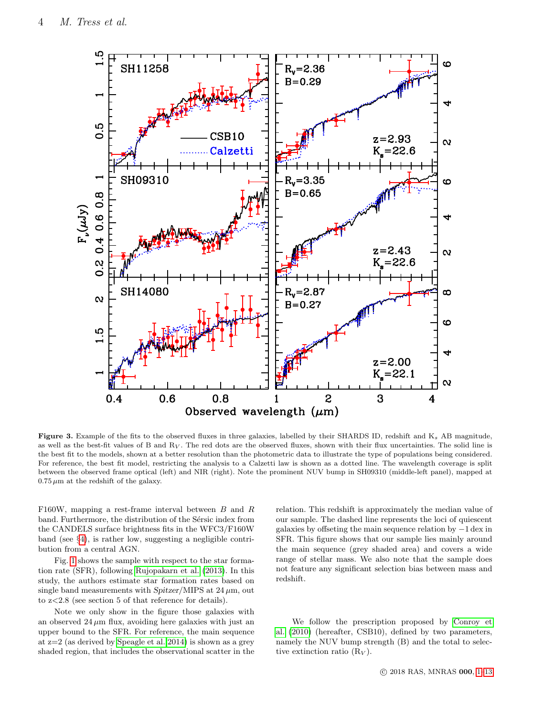<span id="page-3-0"></span>

Figure 3. Example of the fits to the observed fluxes in three galaxies, labelled by their SHARDS ID, redshift and K<sub>s</sub> AB magnitude, as well as the best-fit values of B and  $R_V$ . The red dots are the observed fluxes, shown with their flux uncertainties. The solid line is the best fit to the models, shown at a better resolution than the photometric data to illustrate the type of populations being considered. For reference, the best fit model, restricting the analysis to a Calzetti law is shown as a dotted line. The wavelength coverage is split between the observed frame optical (left) and NIR (right). Note the prominent NUV bump in SH09310 (middle-left panel), mapped at  $0.75 \,\mu\mathrm{m}$  at the redshift of the galaxy.

F160W, mapping a rest-frame interval between B and R band. Furthermore, the distribution of the Sérsic index from the CANDELS surface brightness fits in the WFC3/F160W band (see §[4\)](#page-6-0), is rather low, suggesting a negligible contribution from a central AGN.

Fig. [1](#page-1-1) shows the sample with respect to the star formation rate (SFR), following [Rujopakarn et al.](#page-12-18) [\(2013\)](#page-12-18). In this study, the authors estimate star formation rates based on single band measurements with Spitzer/MIPS at  $24 \mu m$ , out to z<2.8 (see section 5 of that reference for details).

Note we only show in the figure those galaxies with an observed  $24 \mu m$  flux, avoiding here galaxies with just an upper bound to the SFR. For reference, the main sequence at z=2 (as derived by [Speagle et al. 2014\)](#page-12-14) is shown as a grey shaded region, that includes the observational scatter in the

relation. This redshift is approximately the median value of our sample. The dashed line represents the loci of quiescent galaxies by offseting the main sequence relation by −1 dex in SFR. This figure shows that our sample lies mainly around the main sequence (grey shaded area) and covers a wide range of stellar mass. We also note that the sample does not feature any significant selection bias between mass and redshift.

We follow the prescription proposed by [Conroy et](#page-11-9) [al.](#page-11-9) [\(2010\)](#page-11-9) (hereafter, CSB10), defined by two parameters, namely the NUV bump strength (B) and the total to selective extinction ratio  $(R_V)$ .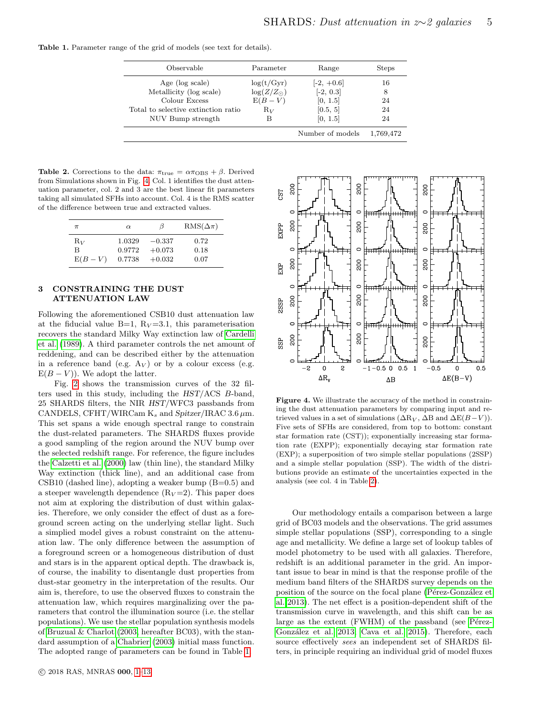<span id="page-4-2"></span>Table 1. Parameter range of the grid of models (see text for details).

| Observable                          | Parameter           | Range            | <b>Steps</b> |
|-------------------------------------|---------------------|------------------|--------------|
| Age (log scale)                     | log(t/Gyr)          | $[-2, +0.6]$     | 16           |
| Metallicity (log scale)             | $\log(Z/Z_{\odot})$ | $[-2, 0.3]$      | 8            |
| Colour Excess                       | $E(B-V)$            | [0, 1.5]         | 24           |
| Total to selective extinction ratio | $R_V$               | [0.5, 5]         | 24           |
| NUV Bump strength                   | В                   | [0, 1.5]         | 24           |
|                                     |                     | Number of models | 1,769,472    |

<span id="page-4-3"></span>**Table 2.** Corrections to the data:  $\pi_{\text{true}} = \alpha \pi_{\text{OBS}} + \beta$ . Derived from Simulations shown in Fig. [4.](#page-4-1) Col. 1 identifies the dust attenuation parameter, col. 2 and 3 are the best linear fit parameters taking all simulated SFHs into account. Col. 4 is the RMS scatter of the difference between true and extracted values.

| $\pi$    | $\alpha$ | 13       | $RMS(\Delta \pi)$ |
|----------|----------|----------|-------------------|
| $R_V$    | 1.0329   | $-0.337$ | 0.72              |
| B        | 0.9772   | $+0.073$ | 0.18              |
| $E(B-V)$ | 0.7738   | $+0.032$ | 0.07              |

## <span id="page-4-0"></span>3 CONSTRAINING THE DUST ATTENUATION LAW

Following the aforementioned CSB10 dust attenuation law at the fiducial value  $B=1$ ,  $R_V=3.1$ , this parameterisation recovers the standard Milky Way extinction law of [Cardelli](#page-11-30) [et al.](#page-11-30) [\(1989\)](#page-11-30). A third parameter controls the net amount of reddening, and can be described either by the attenuation in a reference band (e.g.  $A_V$ ) or by a colour excess (e.g.  $E(B - V)$ ). We adopt the latter.

Fig. [2](#page-2-1) shows the transmission curves of the 32 filters used in this study, including the HST/ACS B-band, 25 SHARDS filters, the NIR HST/WFC3 passbands from CANDELS, CFHT/WIRCam  $K_s$  and Spitzer/IRAC 3.6  $\mu$ m. This set spans a wide enough spectral range to constrain the dust-related parameters. The SHARDS fluxes provide a good sampling of the region around the NUV bump over the selected redshift range. For reference, the figure includes the [Calzetti et al.](#page-11-19) [\(2000\)](#page-11-19) law (thin line), the standard Milky Way extinction (thick line), and an additional case from CSB10 (dashed line), adopting a weaker bump  $(B=0.5)$  and a steeper wavelength dependence  $(R_V=2)$ . This paper does not aim at exploring the distribution of dust within galaxies. Therefore, we only consider the effect of dust as a foreground screen acting on the underlying stellar light. Such a simplied model gives a robust constraint on the attenuation law. The only difference between the assumption of a foreground screen or a homogeneous distribution of dust and stars is in the apparent optical depth. The drawback is, of course, the inability to disentangle dust properties from dust-star geometry in the interpretation of the results. Our aim is, therefore, to use the observed fluxes to constrain the attenuation law, which requires marginalizing over the parameters that control the illumination source (i.e. the stellar populations). We use the stellar population synthesis models of [Bruzual & Charlot](#page-11-31) [\(2003,](#page-11-31) hereafter BC03), with the standard assumption of a [Chabrier](#page-11-21) [\(2003\)](#page-11-21) initial mass function. The adopted range of parameters can be found in Table [1.](#page-4-2)

<span id="page-4-1"></span>

Figure 4. We illustrate the accuracy of the method in constraining the dust attenuation parameters by comparing input and retrieved values in a set of simulations ( $\Delta R_V$ ,  $\Delta B$  and  $\Delta E(B-V)$ ). Five sets of SFHs are considered, from top to bottom: constant star formation rate (CST)); exponentially increasing star formation rate (EXPP); exponentially decaying star formation rate (EXP); a superposition of two simple stellar populations (2SSP) and a simple stellar population (SSP). The width of the distributions provide an estimate of the uncertainties expected in the analysis (see col. 4 in Table [2\)](#page-4-3).

Our methodology entails a comparison between a large grid of BC03 models and the observations. The grid assumes simple stellar populations (SSP), corresponding to a single age and metallicity. We define a large set of lookup tables of model photometry to be used with all galaxies. Therefore, redshift is an additional parameter in the grid. An important issue to bear in mind is that the response profile of the medium band filters of the SHARDS survey depends on the position of the source on the focal plane (Pérez-González et [al. 2013\)](#page-12-15). The net effect is a position-dependent shift of the transmission curve in wavelength, and this shift can be as large as the extent  $(FWHM)$  of the passband (see Pérez-González et al. 2013; [Cava et al. 2015\)](#page-11-32). Therefore, each source effectively sees an independent set of SHARDS filters, in principle requiring an individual grid of model fluxes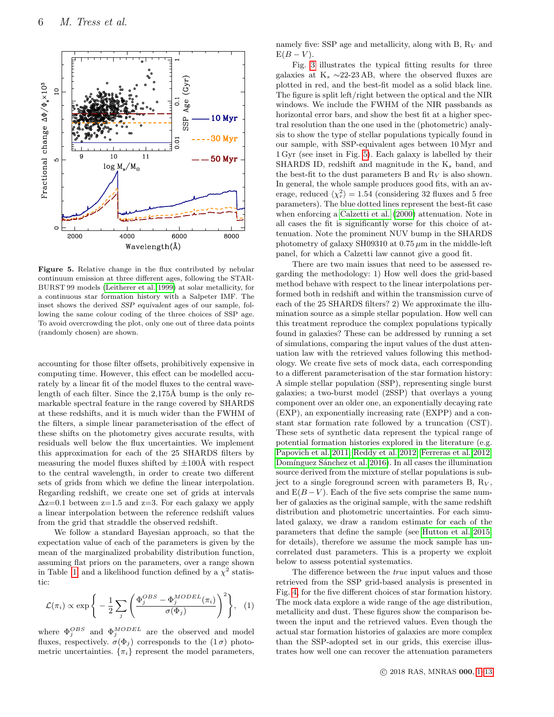<span id="page-5-0"></span>

Figure 5. Relative change in the flux contributed by nebular continuum emission at three different ages, following the STAR-BURST 99 models [\(Leitherer et al. 1999\)](#page-12-19) at solar metallicity, for a continuous star formation history with a Salpeter IMF. The inset shows the derived SSP equivalent ages of our sample, following the same colour coding of the three choices of SSP age. To avoid overcrowding the plot, only one out of three data points (randomly chosen) are shown.

accounting for those filter offsets, prohibitively expensive in computing time. However, this effect can be modelled accurately by a linear fit of the model fluxes to the central wavelength of each filter. Since the  $2,175\text{\AA}$  bump is the only remarkable spectral feature in the range covered by SHARDS at these redshifts, and it is much wider than the FWHM of the filters, a simple linear parameterisation of the effect of these shifts on the photometry gives accurate results, with residuals well below the flux uncertainties. We implement this approximation for each of the 25 SHARDS filters by measuring the model fluxes shifted by  $\pm 100\text{\AA}$  with respect to the central wavelength, in order to create two different sets of grids from which we define the linear interpolation. Regarding redshift, we create one set of grids at intervals  $\Delta z=0.1$  between  $z=1.5$  and  $z=3$ . For each galaxy we apply a linear interpolation between the reference redshift values from the grid that straddle the observed redshift.

We follow a standard Bayesian approach, so that the expectation value of each of the parameters is given by the mean of the marginalized probability distribution function, assuming flat priors on the parameters, over a range shown in Table [1,](#page-4-2) and a likelihood function defined by a  $\chi^2$  statistic:

$$
\mathcal{L}(\pi_i) \propto \exp\Bigg\{-\frac{1}{2}\sum_j \Bigg(\frac{\Phi_j^{OBS} - \Phi_j^{MODEL}(\pi_i)}{\sigma(\Phi_j)}\Bigg)^2\Bigg\}, \quad (1)
$$

where  $\Phi_j^{OBS}$  and  $\Phi_j^{MODEL}$  are the observed and model fluxes, respectively.  $\sigma(\Phi_j)$  corresponds to the  $(1\sigma)$  photometric uncertainties.  $\{\pi_i\}$  represent the model parameters, namely five: SSP age and metallicity, along with B,  $R_V$  and  $E(B-V)$ .

Fig. [3](#page-3-0) illustrates the typical fitting results for three galaxies at  $K_s \sim 22-23$  AB, where the observed fluxes are plotted in red, and the best-fit model as a solid black line. The figure is split left/right between the optical and the NIR windows. We include the FWHM of the NIR passbands as horizontal error bars, and show the best fit at a higher spectral resolution than the one used in the (photometric) analysis to show the type of stellar populations typically found in our sample, with SSP-equivalent ages between 10 Myr and 1 Gyr (see inset in Fig. [5\)](#page-5-0). Each galaxy is labelled by their SHARDS ID, redshift and magnitude in the  $K_s$  band, and the best-fit to the dust parameters B and  $R_V$  is also shown. In general, the whole sample produces good fits, with an average, reduced  $\langle \chi_r^2 \rangle = 1.54$  (considering 32 fluxes and 5 free parameters). The blue dotted lines represent the best-fit case when enforcing a [Calzetti et al.](#page-11-19) [\(2000\)](#page-11-19) attenuation. Note in all cases the fit is significantly worse for this choice of attenuation. Note the prominent NUV bump in the SHARDS photometry of galaxy SH09310 at  $0.75 \mu m$  in the middle-left panel, for which a Calzetti law cannot give a good fit.

There are two main issues that need to be assessed regarding the methodology: 1) How well does the grid-based method behave with respect to the linear interpolations performed both in redshift and within the transmission curve of each of the 25 SHARDS filters? 2) We approximate the illumination source as a simple stellar population. How well can this treatment reproduce the complex populations typically found in galaxies? These can be addressed by running a set of simulations, comparing the input values of the dust attenuation law with the retrieved values following this methodology. We create five sets of mock data, each corresponding to a different parameterisation of the star formation history: A simple stellar population (SSP), representing single burst galaxies; a two-burst model (2SSP) that overlays a young component over an older one, an exponentially decaying rate (EXP), an exponentially increasing rate (EXPP) and a constant star formation rate followed by a truncation (CST). These sets of synthetic data represent the typical range of potential formation histories explored in the literature (e.g. [Papovich et al. 2011;](#page-12-20) [Reddy et al. 2012;](#page-12-21) [Ferreras et al. 2012;](#page-11-33) Domínguez Sánchez et al. 2016). In all cases the illumination source derived from the mixture of stellar populations is subject to a single foreground screen with parameters  $B, R_V$ , and  $E(B-V)$ . Each of the five sets comprise the same number of galaxies as the original sample, with the same redshift distribution and photometric uncertainties. For each simulated galaxy, we draw a random estimate for each of the parameters that define the sample (see [Hutton et al. 2015,](#page-11-12) for details), therefore we assume the mock sample has uncorrelated dust parameters. This is a property we exploit below to assess potential systematics.

The difference between the true input values and those retrieved from the SSP grid-based analysis is presented in Fig. [4,](#page-4-1) for the five different choices of star formation history. The mock data explore a wide range of the age distribution, metallicity and dust. These figures show the comparison between the input and the retrieved values. Even though the actual star formation histories of galaxies are more complex than the SSP-adopted set in our grids, this exercise illustrates how well one can recover the attenuation parameters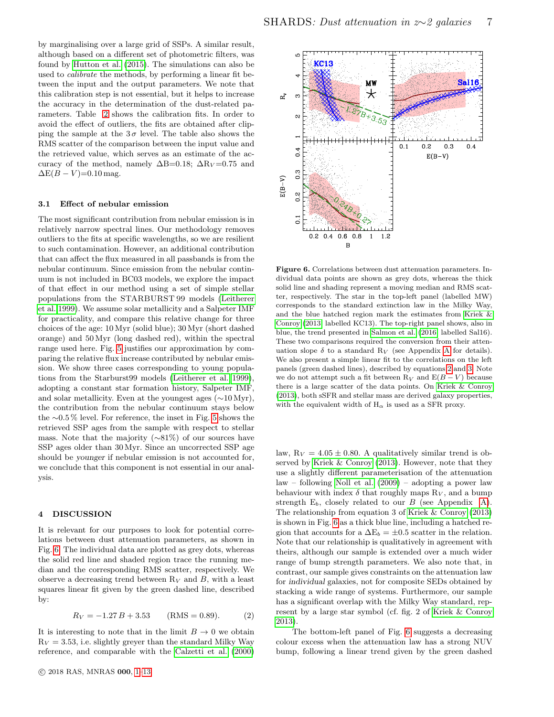by marginalising over a large grid of SSPs. A similar result, although based on a different set of photometric filters, was found by [Hutton et al.](#page-11-12) [\(2015\)](#page-11-12). The simulations can also be used to calibrate the methods, by performing a linear fit between the input and the output parameters. We note that this calibration step is not essential, but it helps to increase the accuracy in the determination of the dust-related parameters. Table [2](#page-4-3) shows the calibration fits. In order to avoid the effect of outliers, the fits are obtained after clipping the sample at the  $3\sigma$  level. The table also shows the RMS scatter of the comparison between the input value and the retrieved value, which serves as an estimate of the accuracy of the method, namely  $\Delta B=0.18$ ;  $\Delta R_V=0.75$  and  $\Delta E(B-V) = 0.10$  mag.

# 3.1 Effect of nebular emission

The most significant contribution from nebular emission is in relatively narrow spectral lines. Our methodology removes outliers to the fits at specific wavelengths, so we are resilient to such contamination. However, an additional contribution that can affect the flux measured in all passbands is from the nebular continuum. Since emission from the nebular continuum is not included in BC03 models, we explore the impact of that effect in our method using a set of simple stellar populations from the STARBURST 99 models [\(Leitherer](#page-12-19) [et al. 1999\)](#page-12-19). We assume solar metallicity and a Salpeter IMF for practicality, and compare this relative change for three choices of the age: 10 Myr (solid blue); 30 Myr (short dashed orange) and 50 Myr (long dashed red), within the spectral range used here. Fig. [5](#page-5-0) justifies our approximation by comparing the relative flux increase contributed by nebular emission. We show three cases corresponding to young populations from the Starburst99 models [\(Leitherer et al. 1999\)](#page-12-19), adopting a constant star formation history, Salpeter IMF, and solar metallicity. Even at the youngest ages (∼10 Myr), the contribution from the nebular continuum stays below the ∼0.5 % level. For reference, the inset in Fig. [5](#page-5-0) shows the retrieved SSP ages from the sample with respect to stellar mass. Note that the majority (∼81%) of our sources have SSP ages older than 30 Myr. Since an uncorrected SSP age should be younger if nebular emission is not accounted for, we conclude that this component is not essential in our analysis.

# <span id="page-6-0"></span>4 DISCUSSION

It is relevant for our purposes to look for potential correlations between dust attenuation parameters, as shown in Fig. [6.](#page-6-1) The individual data are plotted as grey dots, whereas the solid red line and shaded region trace the running median and the corresponding RMS scatter, respectively. We observe a decreasing trend between  $R_V$  and B, with a least squares linear fit given by the green dashed line, described by:

<span id="page-6-2"></span>
$$
R_V = -1.27 B + 3.53 \qquad (\text{RMS} = 0.89). \tag{2}
$$

It is interesting to note that in the limit  $B \to 0$  we obtain  $R_V = 3.53$ , i.e. slightly greyer than the standard Milky Way reference, and comparable with the [Calzetti et al.](#page-11-19) [\(2000\)](#page-11-19)

<span id="page-6-1"></span>

Figure 6. Correlations between dust attenuation parameters. Individual data points are shown as grey dots, whereas the thick solid line and shading represent a moving median and RMS scatter, respectively. The star in the top-left panel (labelled MW) corresponds to the standard extinction law in the Milky Way, and the blue hatched region mark the estimates from [Kriek &](#page-11-17) [Conroy](#page-11-17) [\(2013,](#page-11-17) labelled KC13). The top-right panel shows, also in blue, the trend presented in [Salmon et al.](#page-12-13) [\(2016,](#page-12-13) labelled Sal16). These two comparisons required the conversion from their attenuation slope  $\delta$  to a standard R<sub>V</sub> (see [A](#page-12-22)ppendix A for details). We also present a simple linear fit to the correlations on the left panels (green dashed lines), described by equations [2](#page-6-2) and [3.](#page-7-0) Note we do not attempt such a fit between  $R_V$  and  $E(B-V)$  because there is a large scatter of the data points. On [Kriek & Conroy](#page-11-17) [\(2013\)](#page-11-17), both sSFR and stellar mass are derived galaxy properties, with the equivalent width of  $H_{\alpha}$  is used as a SFR proxy.

law,  $R_V = 4.05 \pm 0.80$ . A qualitatively similar trend is observed by [Kriek & Conroy](#page-11-17) [\(2013\)](#page-11-17). However, note that they use a slightly different parameterisation of the attenuation law – following [Noll et al.](#page-12-4) [\(2009\)](#page-12-4) – adopting a power law behaviour with index  $\delta$  that roughly maps  $R_V$ , and a bump strength  $E_b$ , closely related to our  $B$  (see Appendix [A\)](#page-12-22). The relationship from equation 3 of [Kriek & Conroy](#page-11-17) [\(2013\)](#page-11-17) is shown in Fig. [6](#page-6-1) as a thick blue line, including a hatched region that accounts for a  $\Delta E_b = \pm 0.5$  scatter in the relation. Note that our relationship is qualitatively in agreement with theirs, although our sample is extended over a much wider range of bump strength parameters. We also note that, in contrast, our sample gives constraints on the attenuation law for individual galaxies, not for composite SEDs obtained by stacking a wide range of systems. Furthermore, our sample has a significant overlap with the Milky Way standard, represent by a large star symbol (cf. fig. 2 of [Kriek & Conroy](#page-11-17) [2013\)](#page-11-17).

The bottom-left panel of Fig. [6](#page-6-1) suggests a decreasing colour excess when the attenuation law has a strong NUV bump, following a linear trend given by the green dashed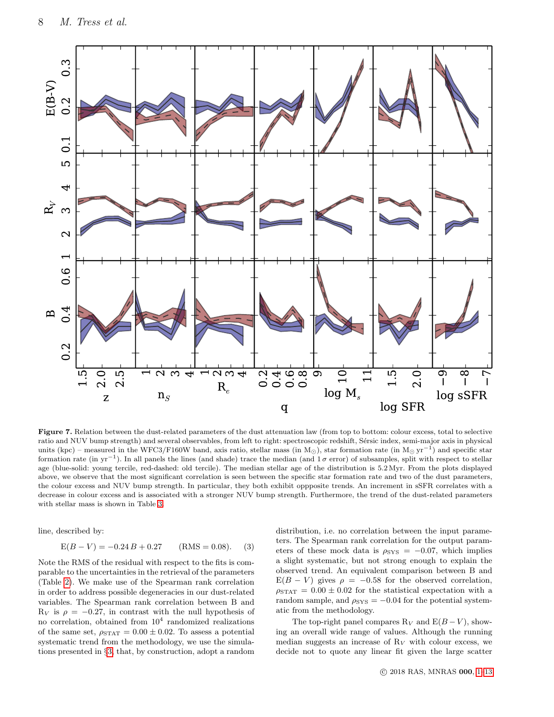<span id="page-7-1"></span>

Figure 7. Relation between the dust-related parameters of the dust attenuation law (from top to bottom: colour excess, total to selective ratio and NUV bump strength) and several observables, from left to right: spectroscopic redshift, Sérsic index, semi-major axis in physical units (kpc) – measured in the WFC3/F160W band, axis ratio, stellar mass (in M<sub>☉</sub>), star formation rate (in M<sub>☉</sub> yr<sup>-1</sup>) and specific star formation rate (in yr<sup>-1</sup>). In all panels the lines (and shade) trace the median (and  $1\sigma$  error) of subsamples, split with respect to stellar age (blue-solid: young tercile, red-dashed: old tercile). The median stellar age of the distribution is 5.2 Myr. From the plots displayed above, we observe that the most significant correlation is seen between the specific star formation rate and two of the dust parameters, the colour excess and NUV bump strength. In particular, they both exhibit oppposite trends. An increment in sSFR correlates with a decrease in colour excess and is associated with a stronger NUV bump strength. Furthermore, the trend of the dust-related parameters with stellar mass is shown in Table [3.](#page-8-0)

line, described by:

<span id="page-7-0"></span>
$$
E(B - V) = -0.24 B + 0.27 \qquad (RMS = 0.08). \tag{3}
$$

Note the RMS of the residual with respect to the fits is comparable to the uncertainties in the retrieval of the parameters (Table [2\)](#page-4-3). We make use of the Spearman rank correlation in order to address possible degeneracies in our dust-related variables. The Spearman rank correlation between B and  $R_V$  is  $\rho = -0.27$ , in contrast with the null hypothesis of no correlation, obtained from  $10^4$  randomized realizations of the same set,  $\rho_{\text{STAT}} = 0.00 \pm 0.02$ . To assess a potential systematic trend from the methodology, we use the simulations presented in §[3,](#page-4-0) that, by construction, adopt a random

distribution, i.e. no correlation between the input parameters. The Spearman rank correlation for the output parameters of these mock data is  $\rho_{\rm{SYS}} = -0.07$ , which implies a slight systematic, but not strong enough to explain the observed trend. An equivalent comparison between B and  $E(B - V)$  gives  $\rho = -0.58$  for the observed correlation,  $\rho_{\text{STAT}} = 0.00 \pm 0.02$  for the statistical expectation with a random sample, and  $\rho_{\rm{SYS}} = -0.04$  for the potential systematic from the methodology.

The top-right panel compares  $R_V$  and  $E(B-V)$ , showing an overall wide range of values. Although the running median suggests an increase of  $R_V$  with colour excess, we decide not to quote any linear fit given the large scatter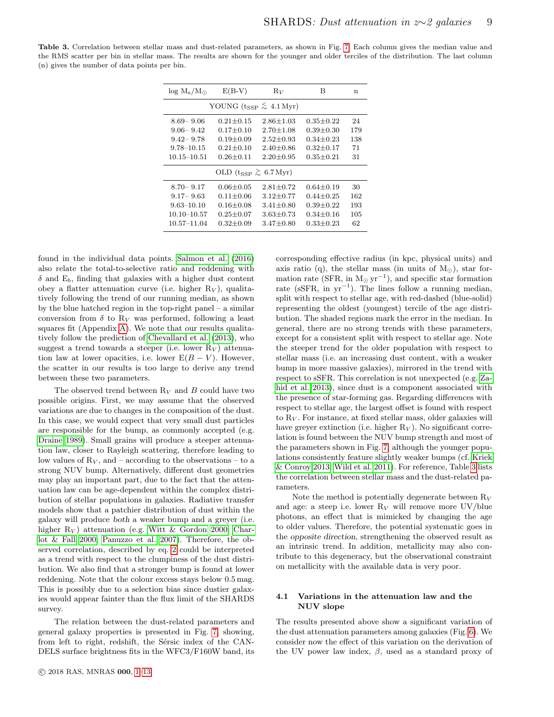<span id="page-8-0"></span>Table 3. Correlation between stellar mass and dust-related parameters, as shown in Fig. [7.](#page-7-1) Each column gives the median value and the RMS scatter per bin in stellar mass. The results are shown for the younger and older terciles of the distribution. The last column (n) gives the number of data points per bin.

| $\log M_s/M_{\odot}$                          | $E(B-V)$        | $R_V$             | В               | n   |  |  |  |  |
|-----------------------------------------------|-----------------|-------------------|-----------------|-----|--|--|--|--|
| YOUNG $(t_{SSP} \lesssim 4.1 \,\mathrm{Myr})$ |                 |                   |                 |     |  |  |  |  |
| $8.69 - 9.06$                                 | $0.21 + 0.15$   | $2.86 + 1.03$     | $0.35 \pm 0.22$ | 24  |  |  |  |  |
| $9.06 - 9.42$                                 | $0.17 + 0.10$   | $2.70 \pm 1.08$   | $0.39 + 0.30$   | 179 |  |  |  |  |
| $9.42 - 9.78$                                 | $0.19 + 0.09$   | $2.52 + 0.93$     | $0.34 + 0.23$   | 138 |  |  |  |  |
| $9.78 - 10.15$                                | $0.21 + 0.10$   | $2.40 {\pm} 0.86$ | $0.32 \pm 0.17$ | 71  |  |  |  |  |
| 10.15–10.51                                   | $0.26 + 0.11$   | $2.20 + 0.95$     | $0.35 + 0.21$   | 31  |  |  |  |  |
| OLD ( $t_{SSP} \gtrsim 6.7 \,\text{Myr}$ )    |                 |                   |                 |     |  |  |  |  |
| $8.70 - 9.17$                                 | $0.06 + 0.05$   | $2.81 + 0.72$     | $0.64 + 0.19$   | 30  |  |  |  |  |
| $9.17 - 9.63$                                 | $0.11 + 0.06$   | $3.12 + 0.77$     | $0.44 + 0.25$   | 162 |  |  |  |  |
| $9.63 - 10.10$                                | $0.16 \pm 0.08$ | $3.41 + 0.80$     | $0.39 + 0.22$   | 193 |  |  |  |  |
| 10.10–10.57                                   | $0.25 + 0.07$   | $3.63 + 0.73$     | $0.34 + 0.16$   | 105 |  |  |  |  |
| 10.57–11.04                                   | $0.32 + 0.09$   | $3.47 + 0.80$     | $0.33 + 0.23$   | 62  |  |  |  |  |
|                                               |                 |                   |                 |     |  |  |  |  |

found in the individual data points. [Salmon et al.](#page-12-13) [\(2016\)](#page-12-13) also relate the total-to-selective ratio and reddening with  $\delta$  and  $E_b$ , finding that galaxies with a higher dust content obey a flatter attenuation curve (i.e. higher  $R_V$ ), qualitatively following the trend of our running median, as shown by the blue hatched region in the top-right panel – a similar conversion from  $\delta$  to  $R_V$  was performed, following a least squares fit (Appendix [A\)](#page-12-22). We note that our results qualitatively follow the prediction of [Chevallard et al.](#page-11-35) [\(2013\)](#page-11-35), who suggest a trend towards a steeper (i.e. lower  $R_V$ ) attenuation law at lower opacities, i.e. lower  $E(B - V)$ . However, the scatter in our results is too large to derive any trend between these two parameters.

The observed trend between  $R_V$  and B could have two possible origins. First, we may assume that the observed variations are due to changes in the composition of the dust. In this case, we would expect that very small dust particles are responsible for the bump, as commonly accepted (e.g. [Draine 1989\)](#page-11-2). Small grains will produce a steeper attenuation law, closer to Rayleigh scattering, therefore leading to low values of  $R_V$ , and – according to the observations – to a strong NUV bump. Alternatively, different dust geometries may play an important part, due to the fact that the attenuation law can be age-dependent within the complex distribution of stellar populations in galaxies. Radiative transfer models show that a patchier distribution of dust within the galaxy will produce both a weaker bump and a greyer (i.e. higher  $R_V$ ) attenuation (e.g. [Witt & Gordon 2000;](#page-12-3) [Char](#page-11-7)[lot & Fall 2000;](#page-11-7) [Panuzzo et al. 2007\)](#page-12-12). Therefore, the observed correlation, described by eq. [2](#page-6-2) could be interpreted as a trend with respect to the clumpiness of the dust distribution. We also find that a stronger bump is found at lower reddening. Note that the colour excess stays below 0.5 mag. This is possibly due to a selection bias since dustier galaxies would appear fainter than the flux limit of the SHARDS survey.

The relation between the dust-related parameters and general galaxy properties is presented in Fig. [7,](#page-7-1) showing, from left to right, redshift, the Sérsic index of the CAN-DELS surface brightness fits in the WFC3/F160W band, its

corresponding effective radius (in kpc, physical units) and axis ratio (q), the stellar mass (in units of  $M_{\odot}$ ), star formation rate (SFR, in  $M_{\odot}$  yr<sup>-1</sup>), and specific star formation rate (sSFR, in  $yr^{-1}$ ). The lines follow a running median, split with respect to stellar age, with red-dashed (blue-solid) representing the oldest (youngest) tercile of the age distribution. The shaded regions mark the error in the median. In general, there are no strong trends with these parameters, except for a consistent split with respect to stellar age. Note the steeper trend for the older population with respect to stellar mass (i.e. an increasing dust content, with a weaker bump in more massive galaxies), mirrored in the trend with respect to sSFR. This correlation is not unexpected (e.g. [Za](#page-12-23)[hid et al. 2013\)](#page-12-23), since dust is a component associated with the presence of star-forming gas. Regarding differences with respect to stellar age, the largest offset is found with respect to  $R_V$ . For instance, at fixed stellar mass, older galaxies will have greyer extinction (i.e. higher  $R_V$ ). No significant correlation is found between the NUV bump strength and most of the parameters shown in Fig. [7,](#page-7-1) although the younger populations consistently feature slightly weaker bumps (cf. [Kriek](#page-11-17) [& Conroy 2013;](#page-11-17) [Wild et al. 2011\)](#page-12-5). For reference, Table [3](#page-8-0) lists the correlation between stellar mass and the dust-related parameters.

Note the method is potentially degenerate between  $R_V$ and age: a steep i.e. lower  $R_V$  will remove more UV/blue photons, an effect that is mimicked by changing the age to older values. Therefore, the potential systematic goes in the opposite direction, strengthening the observed result as an intrinsic trend. In addition, metallicity may also contribute to this degeneracy, but the observational constraint on metallicity with the available data is very poor.

#### 4.1 Variations in the attenuation law and the NUV slope

The results presented above show a significant variation of the dust attenuation parameters among galaxies (Fig. [6\)](#page-6-1). We consider now the effect of this variation on the derivation of the UV power law index,  $\beta$ , used as a standard proxy of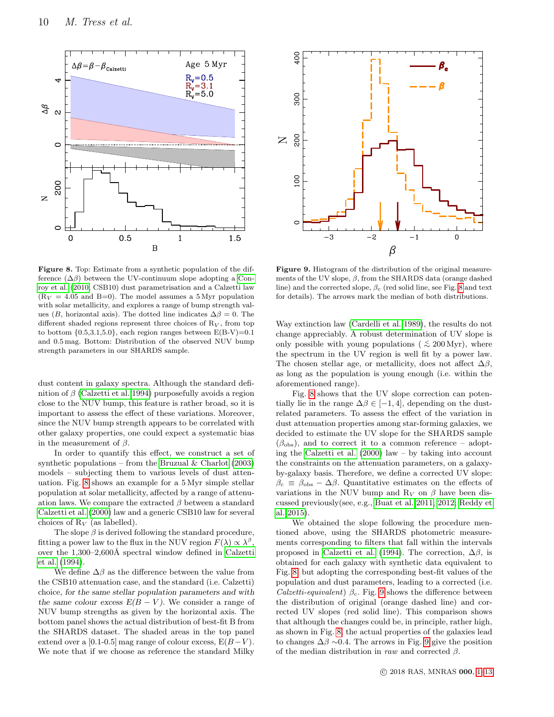<span id="page-9-0"></span>

<span id="page-9-1"></span>

Figure 8. Top: Estimate from a synthetic population of the difference  $(\Delta \beta)$  between the UV-continuum slope adopting a [Con](#page-11-9)[roy et al.](#page-11-9) [\(2010,](#page-11-9) CSB10) dust parametrisation and a Calzetti law  $(R_V = 4.05$  and B=0). The model assumes a 5 Myr population with solar metallicity, and explores a range of bump strength values (B, horizontal axis). The dotted line indicates  $\Delta \beta = 0$ . The different shaded regions represent three choices of  $R_V$ , from top to bottom  $\{0.5,3.1,5.0\}$ , each region ranges between  $E(B-V)=0.1$ and 0.5 mag. Bottom: Distribution of the observed NUV bump strength parameters in our SHARDS sample.

dust content in galaxy spectra. Although the standard definition of  $\beta$  [\(Calzetti et al. 1994\)](#page-11-36) purposefully avoids a region close to the NUV bump, this feature is rather broad, so it is important to assess the effect of these variations. Moreover, since the NUV bump strength appears to be correlated with other galaxy properties, one could expect a systematic bias in the measurement of  $\beta$ .

In order to quantify this effect, we construct a set of synthetic populations – from the Bruzual  $\&$  Charlot [\(2003\)](#page-11-31) models – subjecting them to various levels of dust attenuation. Fig. [8](#page-9-0) shows an example for a 5 Myr simple stellar population at solar metallicity, affected by a range of attenuation laws. We compare the extracted  $\beta$  between a standard [Calzetti et al.](#page-11-19) [\(2000\)](#page-11-19) law and a generic CSB10 law for several choices of  $R_V$  (as labelled).

The slope  $\beta$  is derived following the standard procedure, fitting a power law to the flux in the NUV region  $F(\lambda) \propto \lambda^{\beta}$ , over the  $1,300-2,600\text{\AA}$  spectral window defined in [Calzetti](#page-11-36) [et al.](#page-11-36) [\(1994\)](#page-11-36).

We define  $\Delta\beta$  as the difference between the value from the CSB10 attenuation case, and the standard (i.e. Calzetti) choice, for the same stellar population parameters and with the same colour excess  $E(B - V)$ . We consider a range of NUV bump strengths as given by the horizontal axis. The bottom panel shows the actual distribution of best-fit B from the SHARDS dataset. The shaded areas in the top panel extend over a [0.1-0.5] mag range of colour excess,  $E(B-V)$ . We note that if we choose as reference the standard Milky

Figure 9. Histogram of the distribution of the original measurements of the UV slope,  $\beta$ , from the SHARDS data (orange dashed line) and the corrected slope,  $\beta_c$  (red solid line, see Fig. [8](#page-9-0) and text for details). The arrows mark the median of both distributions.

Way extinction law [\(Cardelli et al. 1989\)](#page-11-30), the results do not change appreciably. A robust determination of UV slope is only possible with young populations (  $\lesssim 200$  Myr), where the spectrum in the UV region is well fit by a power law. The chosen stellar age, or metallicity, does not affect  $\Delta\beta$ , as long as the population is young enough (i.e. within the aforementioned range).

Fig. [8](#page-9-0) shows that the UV slope correction can potentially lie in the range  $\Delta \beta \in [-1, 4]$ , depending on the dustrelated parameters. To assess the effect of the variation in dust attenuation properties among star-forming galaxies, we decided to estimate the UV slope for the SHARDS sample  $(\beta_{\text{obs}})$ , and to correct it to a common reference – adopting the [Calzetti et al.](#page-11-19) [\(2000\)](#page-11-19) law – by taking into account the constraints on the attenuation parameters, on a galaxyby-galaxy basis. Therefore, we define a corrected UV slope:  $\beta_c \equiv \beta_{\rm obs} - \Delta \beta$ . Quantitative estimates on the effects of variations in the NUV bump and  $R_V$  on  $\beta$  have been discussed previously(see, e.g., [Buat et al. 2011,](#page-11-37) [2012;](#page-11-10) [Reddy et](#page-12-6) [al. 2015\)](#page-12-6).

We obtained the slope following the procedure mentioned above, using the SHARDS photometric measurements corresponding to filters that fall within the intervals proposed in [Calzetti et al.](#page-11-36) [\(1994\)](#page-11-36). The correction,  $\Delta\beta$ , is obtained for each galaxy with synthetic data equivalent to Fig. [8,](#page-9-0) but adopting the corresponding best-fit values of the population and dust parameters, leading to a corrected (i.e. Calzetti-equivalent)  $\beta_c$ . Fig. [9](#page-9-1) shows the difference between the distribution of original (orange dashed line) and corrected UV slopes (red solid line). This comparison shows that although the changes could be, in principle, rather high, as shown in Fig. [8,](#page-9-0) the actual properties of the galaxies lead to changes  $\Delta\beta \sim 0.4$ . The arrows in Fig. [9](#page-9-1) give the position of the median distribution in raw and corrected  $\beta$ .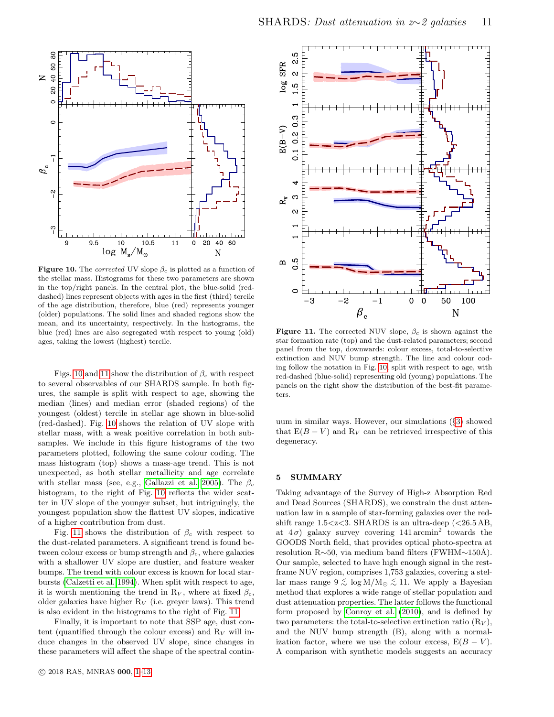<span id="page-10-1"></span>

**Figure 10.** The *corrected* UV slope  $\beta_c$  is plotted as a function of the stellar mass. Histograms for these two parameters are shown in the top/right panels. In the central plot, the blue-solid (reddashed) lines represent objects with ages in the first (third) tercile of the age distribution, therefore, blue (red) represents younger (older) populations. The solid lines and shaded regions show the mean, and its uncertainty, respectively. In the histograms, the blue (red) lines are also segregated with respect to young (old) ages, taking the lowest (highest) tercile.

Figs. [10](#page-10-1) and [11](#page-10-2) show the distribution of  $\beta_c$  with respect to several observables of our SHARDS sample. In both figures, the sample is split with respect to age, showing the median (lines) and median error (shaded regions) of the youngest (oldest) tercile in stellar age shown in blue-solid (red-dashed). Fig. [10](#page-10-1) shows the relation of UV slope with stellar mass, with a weak positive correlation in both subsamples. We include in this figure histograms of the two parameters plotted, following the same colour coding. The mass histogram (top) shows a mass-age trend. This is not unexpected, as both stellar metallicity and age correlate with stellar mass (see, e.g., [Gallazzi et al. 2005\)](#page-11-38). The  $\beta_c$ histogram, to the right of Fig. [10](#page-10-1) reflects the wider scatter in UV slope of the younger subset, but intriguingly, the youngest population show the flattest UV slopes, indicative of a higher contribution from dust.

Fig. [11](#page-10-2) shows the distribution of  $\beta_c$  with respect to the dust-related parameters. A significant trend is found between colour excess or bump strength and  $\beta_c$ , where galaxies with a shallower UV slope are dustier, and feature weaker bumps. The trend with colour excess is known for local starbursts [\(Calzetti et al. 1994\)](#page-11-36). When split with respect to age, it is worth mentioning the trend in R<sub>V</sub>, where at fixed  $\beta_c$ , older galaxies have higher  $R_V$  (i.e. greyer laws). This trend is also evident in the histograms to the right of Fig. [11.](#page-10-2)

Finally, it is important to note that SSP age, dust content (quantified through the colour excess) and  $R_V$  will induce changes in the observed UV slope, since changes in these parameters will affect the shape of the spectral contin-

<span id="page-10-2"></span>

**Figure 11.** The corrected NUV slope,  $\beta_c$  is shown against the star formation rate (top) and the dust-related parameters; second panel from the top, downwards: colour excess, total-to-selective extinction and NUV bump strength. The line and colour coding follow the notation in Fig. [10,](#page-10-1) split with respect to age, with red-dashed (blue-solid) representing old (young) populations. The panels on the right show the distribution of the best-fit parameters.

uum in similar ways. However, our simulations (§[3\)](#page-4-0) showed that  $E(B - V)$  and  $R_V$  can be retrieved irrespective of this degeneracy.

# <span id="page-10-0"></span>5 SUMMARY

Taking advantage of the Survey of High-z Absorption Red and Dead Sources (SHARDS), we constrain the dust attenuation law in a sample of star-forming galaxies over the redshift range  $1.5 < z < 3$ . SHARDS is an ultra-deep  $( $26.5$  AB,$ at  $4\sigma$ ) galaxy survey covering 141 arcmin<sup>2</sup> towards the GOODS North field, that provides optical photo-spectra at resolution R∼50, via medium band filters (FWHM∼150Å). Our sample, selected to have high enough signal in the restframe NUV region, comprises 1,753 galaxies, covering a stellar mass range  $9 \lesssim \log M/M_{\odot} \lesssim 11$ . We apply a Bayesian method that explores a wide range of stellar population and dust attenuation properties. The latter follows the functional form proposed by [Conroy et al.](#page-11-9) [\(2010\)](#page-11-9), and is defined by two parameters: the total-to-selective extinction ratio  $(R_V)$ , and the NUV bump strength (B), along with a normalization factor, where we use the colour excess,  $E(B - V)$ . A comparison with synthetic models suggests an accuracy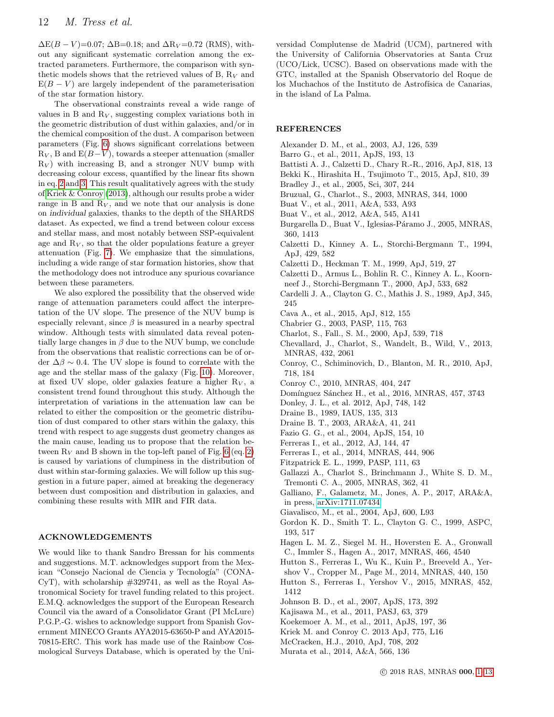$\Delta E(B-V)=0.07$ ;  $\Delta B=0.18$ ; and  $\Delta R_V=0.72$  (RMS), without any significant systematic correlation among the extracted parameters. Furthermore, the comparison with synthetic models shows that the retrieved values of B,  $R_V$  and  $E(B - V)$  are largely independent of the parameterisation of the star formation history.

The observational constraints reveal a wide range of values in B and  $R_V$ , suggesting complex variations both in the geometric distribution of dust within galaxies, and/or in the chemical composition of the dust. A comparison between parameters (Fig. [6\)](#page-6-1) shows significant correlations between  $R_V$ , B and  $E(B-V)$ , towards a steeper attenuation (smaller  $R_V$ ) with increasing B, and a stronger NUV bump with decreasing colour excess, quantified by the linear fits shown in eq. [2](#page-6-2) and [3.](#page-7-0) This result qualitatively agrees with the study of [Kriek & Conroy](#page-11-17) [\(2013\)](#page-11-17), although our results probe a wider range in B and  $R_V$ , and we note that our analysis is done on individual galaxies, thanks to the depth of the SHARDS dataset. As expected, we find a trend between colour excess and stellar mass, and most notably between SSP-equivalent age and  $R_V$ , so that the older populations feature a greyer attenuation (Fig. [7\)](#page-7-1). We emphasize that the simulations, including a wide range of star formation histories, show that the methodology does not introduce any spurious covariance between these parameters.

We also explored the possibility that the observed wide range of attenuation parameters could affect the interpretation of the UV slope. The presence of the NUV bump is especially relevant, since  $\beta$  is measured in a nearby spectral window. Although tests with simulated data reveal potentially large changes in  $\beta$  due to the NUV bump, we conclude from the observations that realistic corrections can be of order  $\Delta\beta \sim 0.4$ . The UV slope is found to correlate with the age and the stellar mass of the galaxy (Fig. [10\)](#page-10-1). Moreover, at fixed UV slope, older galaxies feature a higher  $R_V$ , a consistent trend found throughout this study. Although the interpretation of variations in the attenuation law can be related to either the composition or the geometric distribution of dust compared to other stars within the galaxy, this trend with respect to age suggests dust geometry changes as the main cause, leading us to propose that the relation between  $R_V$  and B shown in the top-left panel of Fig. [6](#page-6-1) (eq. [2\)](#page-6-2) is caused by variations of clumpiness in the distribution of dust within star-forming galaxies. We will follow up this suggestion in a future paper, aimed at breaking the degeneracy between dust composition and distribution in galaxies, and combining these results with MIR and FIR data.

#### ACKNOWLEDGEMENTS

We would like to thank Sandro Bressan for his comments and suggestions. M.T. acknowledges support from the Mexican "Consejo Nacional de Ciencia y Tecnología" (CONA-CyT), with scholarship  $#329741$ , as well as the Royal Astronomical Society for travel funding related to this project. E.M.Q. acknowledges the support of the European Research Council via the award of a Consolidator Grant (PI McLure) P.G.P.-G. wishes to acknowledge support from Spanish Government MINECO Grants AYA2015-63650-P and AYA2015- 70815-ERC. This work has made use of the Rainbow Cosmological Surveys Database, which is operated by the Uni-

versidad Complutense de Madrid (UCM), partnered with the University of California Observatories at Santa Cruz (UCO/Lick, UCSC). Based on observations made with the GTC, installed at the Spanish Observatorio del Roque de los Muchachos of the Instituto de Astrofísica de Canarias, in the island of La Palma.

## **REFERENCES**

- <span id="page-11-28"></span>Alexander D. M., et al., 2003, AJ, 126, 539
- <span id="page-11-26"></span>Barro G., et al., 2011, ApJS, 193, 13
- <span id="page-11-18"></span>Battisti A. J., Calzetti D., Chary R.-R., 2016, ApJ, 818, 13
- <span id="page-11-5"></span>Bekki K., Hirashita H., Tsujimoto T., 2015, ApJ, 810, 39
- <span id="page-11-3"></span>Bradley J., et al., 2005, Sci, 307, 244
- <span id="page-11-31"></span>Bruzual, G., Charlot., S., 2003, MNRAS, 344, 1000
- <span id="page-11-37"></span>Buat V., et al., 2011, A&A, 533, A93
- <span id="page-11-10"></span>Buat V., et al., 2012, A&A, 545, A141
- <span id="page-11-8"></span>Burgarella D., Buat V., Iglesias-Páramo J., 2005, MNRAS, 360, 1413
- <span id="page-11-36"></span>Calzetti D., Kinney A. L., Storchi-Bergmann T., 1994, ApJ, 429, 582
- <span id="page-11-13"></span>Calzetti D., Heckman T. M., 1999, ApJ, 519, 27
- <span id="page-11-19"></span>Calzetti D., Armus L., Bohlin R. C., Kinney A. L., Koornneef J., Storchi-Bergmann T., 2000, ApJ, 533, 682
- <span id="page-11-30"></span>Cardelli J. A., Clayton G. C., Mathis J. S., 1989, ApJ, 345, 245
- <span id="page-11-32"></span>Cava A., et al., 2015, ApJ, 812, 155
- <span id="page-11-21"></span>Chabrier G., 2003, PASP, 115, 763
- <span id="page-11-7"></span>Charlot, S., Fall., S. M., 2000, ApJ, 539, 718
- <span id="page-11-35"></span>Chevallard, J., Charlot, S., Wandelt, B., Wild, V., 2013, MNRAS, 432, 2061
- <span id="page-11-9"></span>Conroy, C., Schiminovich, D., Blanton, M. R., 2010, ApJ, 718, 184
- <span id="page-11-16"></span>Conroy C., 2010, MNRAS, 404, 247
- <span id="page-11-34"></span>Domínguez Sánchez H., et al., 2016, MNRAS, 457, 3743
- <span id="page-11-29"></span>Donley, J. L., et al. 2012, ApJ, 748, 142
- <span id="page-11-2"></span>Draine B., 1989, IAUS, 135, 313
- <span id="page-11-1"></span>Draine B. T., 2003, ARA&A, 41, 241
- <span id="page-11-25"></span>Fazio G. G., et al., 2004, ApJS, 154, 10
- <span id="page-11-33"></span>Ferreras I., et al., 2012, AJ, 144, 47
- <span id="page-11-27"></span>Ferreras I., et al., 2014, MNRAS, 444, 906
- <span id="page-11-4"></span>Fitzpatrick E. L., 1999, PASP, 111, 63
- <span id="page-11-38"></span>Gallazzi A., Charlot S., Brinchmann J., White S. D. M., Tremonti C. A., 2005, MNRAS, 362, 41
- <span id="page-11-0"></span>Galliano, F., Galametz, M., Jones, A. P., 2017, ARA&A, in press, [arXiv:1711.07434](http://arxiv.org/abs/1711.07434)
- <span id="page-11-22"></span>Giavalisco, M., et al., 2004, ApJ, 600, L93
- <span id="page-11-14"></span>Gordon K. D., Smith T. L., Clayton G. C., 1999, ASPC, 193, 517
- <span id="page-11-6"></span>Hagen L. M. Z., Siegel M. H., Hoversten E. A., Gronwall C., Immler S., Hagen A., 2017, MNRAS, 466, 4540
- <span id="page-11-11"></span>Hutton S., Ferreras I., Wu K., Kuin P., Breeveld A., Yer-
- shov V., Cropper M., Page M., 2014, MNRAS, 440, 150
- <span id="page-11-12"></span>Hutton S., Ferreras I., Yershov V., 2015, MNRAS, 452, 1412
- <span id="page-11-15"></span>Johnson B. D., et al., 2007, ApJS, 173, 392
- Kajisawa M., et al., 2011, PASJ, 63, 379
- <span id="page-11-23"></span>Koekemoer A. M., et al., 2011, ApJS, 197, 36
- <span id="page-11-17"></span>Kriek M. and Conroy C. 2013 ApJ, 775, L16
- <span id="page-11-24"></span>McCracken, H.J., 2010, ApJ, 708, 202
- <span id="page-11-20"></span>Murata et al., 2014, A&A, 566, 136